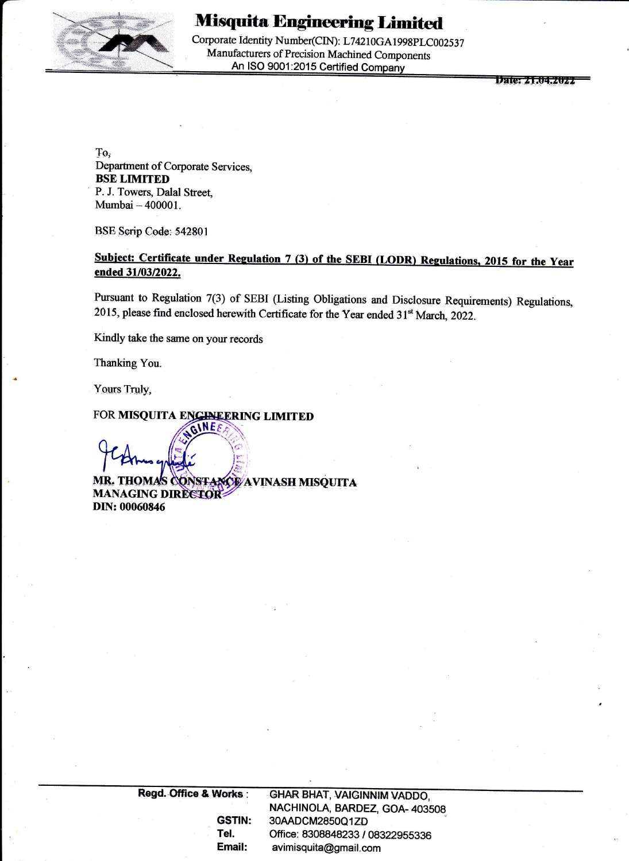

# **Misquita Engineering Limited**

Corporate Identity Number(CIN): L74210GA1998PLC002537 Manufacturers of Precision Machined Components An ISO 9001:2015 Certified Company \_

**Date: 21.04.2022** 

To; Department of Corporate Services, BSE LIMITED P. J. Towers, Dalal Street, Mumbai — 400001.

BSE Serip Code: 542801

## Subject: Certificate under Regulation 7 (3) of the SEBI (LODR) Regulations, 2015 for the Year ended 31/03/2022.

Pursuant to Regulation 7(3) of SEBI (Listing Obligations and Disclosure Requirements) Regulations, 2015, please find enclosed herewith Certificate for the Year ended 31<sup>st</sup> March, 2022.

Kindly take the same on your records

Thanking You.

Yours Truly,

**MR. THOM MANAGING DIRECTOR:** DIN: 00060846 **CONSTANCE AVINASH MISQUITA** Subject: Certificate under Regulation 7(3) of the SEBI (LODR) R<br>ended 31/03/022.<br>Pursuant to Regulation 7(3) of SEBI (Listing Obligations and Discloss<br>2015, please find enclosed herewith Certificate for the Year ended 31<sup>%</sup>

 NACHINOLA, BARDEZ, GOA- 403508 GSTIN: 30AADCM2850Q1ZD Tel. Office: 8308848233 / 08322955336 Email: avimisquita@gmail.com